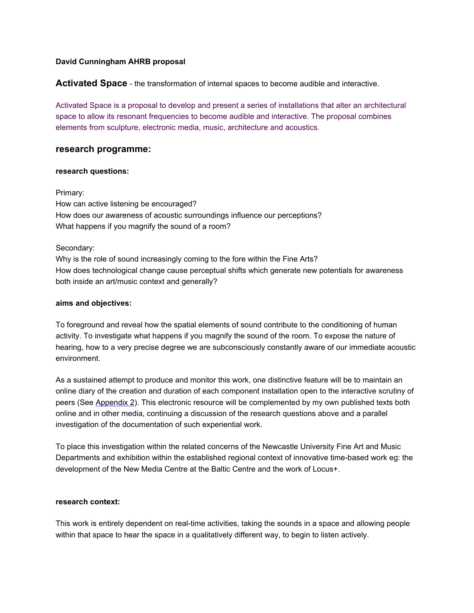# **David Cunningham AHRB proposal**

**Activated Space** - the transformation of internal spaces to become audible and interactive.

Activated Space is a proposal to develop and present a series of installations that alter an architectural space to allow its resonant frequencies to become audible and interactive. The proposal combines elements from sculpture, electronic media, music, architecture and acoustics.

### **research programme:**

#### **research questions:**

### Primary:

How can active listening be encouraged? How does our awareness of acoustic surroundings influence our perceptions? What happens if you magnify the sound of a room?

#### Secondary:

Why is the role of sound increasingly coming to the fore within the Fine Arts? How does technological change cause perceptual shifts which generate new potentials for awareness both inside an art/music context and generally?

#### **aims and objectives:**

To foreground and reveal how the spatial elements of sound contribute to the conditioning of human activity. To investigate what happens if you magnify the sound of the room. To expose the nature of hearing, how to a very precise degree we are subconsciously constantly aware of our immediate acoustic environment.

As a sustained attempt to produce and monitor this work, one distinctive feature will be to maintain an online diary of the creation and duration of each component installation open to the interactive scrutiny of peers (See [Appendix 2\)](http://www.stalk.net/piano/appendix2.htm). This electronic resource will be complemented by my own published texts both online and in other media, continuing a discussion of the research questions above and a parallel investigation of the documentation of such experiential work.

To place this investigation within the related concerns of the Newcastle University Fine Art and Music Departments and exhibition within the established regional context of innovative time-based work eg: the development of the New Media Centre at the Baltic Centre and the work of Locus+.

#### **research context:**

This work is entirely dependent on real-time activities, taking the sounds in a space and allowing people within that space to hear the space in a qualitatively different way, to begin to listen actively.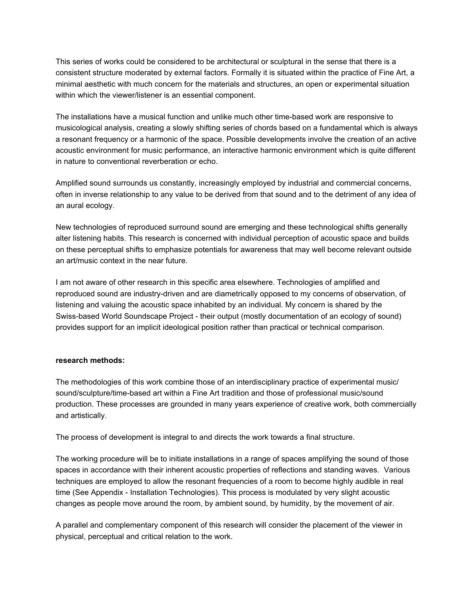This series of works could be considered to be architectural or sculptural in the sense that there is a consistent structure moderated by external factors. Formally it is situated within the practice of Fine Art, a minimal aesthetic with much concern for the materials and structures, an open or experimental situation within which the viewer/listener is an essential component.

The installations have a musical function and unlike much other time-based work are responsive to musicological analysis, creating a slowly shifting series of chords based on a fundamental which is always a resonant frequency or a harmonic of the space. Possible developments involve the creation of an active acoustic environment for music performance, an interactive harmonic environment which is quite different in nature to conventional reverberation or echo.

Amplified sound surrounds us constantly, increasingly employed by industrial and commercial concerns, often in inverse relationship to any value to be derived from that sound and to the detriment of any idea of an aural ecology.

New technologies of reproduced surround sound are emerging and these technological shifts generally alter listening habits. This research is concerned with individual perception of acoustic space and builds on these perceptual shifts to emphasize potentials for awareness that may well become relevant outside an art/music context in the near future.

I am not aware of other research in this specific area elsewhere. Technologies of amplified and reproduced sound are industry-driven and are diametrically opposed to my concerns of observation, of listening and valuing the acoustic space inhabited by an individual. My concern is shared by the Swiss-based World Soundscape Project - their output (mostly documentation of an ecology of sound) provides support for an implicit ideological position rather than practical or technical comparison.

#### **research methods:**

The methodologies of this work combine those of an interdisciplinary practice of experimental music/ sound/sculpture/time-based art within a Fine Art tradition and those of professional music/sound production. These processes are grounded in many years experience of creative work, both commercially and artistically.

The process of development is integral to and directs the work towards a final structure.

The working procedure will be to initiate installations in a range of spaces amplifying the sound of those spaces in accordance with their inherent acoustic properties of reflections and standing waves. Various techniques are employed to allow the resonant frequencies of a room to become highly audible in real time (See Appendix - Installation Technologies). This process is modulated by very slight acoustic changes as people move around the room, by ambient sound, by humidity, by the movement of air.

A parallel and complementary component of this research will consider the placement of the viewer in physical, perceptual and critical relation to the work.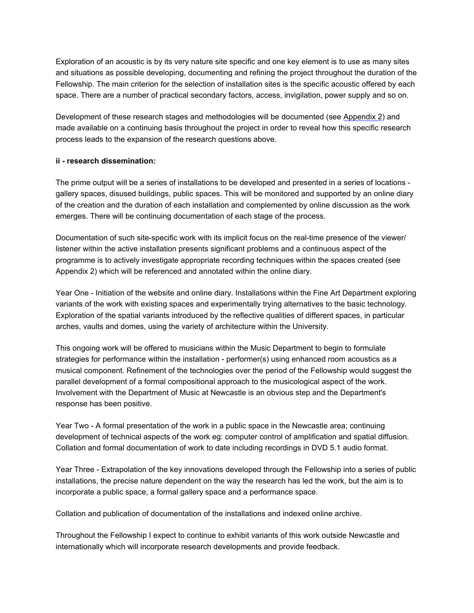Exploration of an acoustic is by its very nature site specific and one key element is to use as many sites and situations as possible developing, documenting and refining the project throughout the duration of the Fellowship. The main criterion for the selection of installation sites is the specific acoustic offered by each space. There are a number of practical secondary factors, access, invigilation, power supply and so on.

Development of these research stages and methodologies will be documented (see [Appendix 2\)](http://www.stalk.net/piano/appendix2.htm) and made available on a continuing basis throughout the project in order to reveal how this specific research process leads to the expansion of the research questions above.

### **ii - research dissemination:**

The prime output will be a series of installations to be developed and presented in a series of locations gallery spaces, disused buildings, public spaces. This will be monitored and supported by an online diary of the creation and the duration of each installation and complemented by online discussion as the work emerges. There will be continuing documentation of each stage of the process.

Documentation of such site-specific work with its implicit focus on the real-time presence of the viewer/ listener within the active installation presents significant problems and a continuous aspect of the programme is to actively investigate appropriate recording techniques within the spaces created (see Appendix 2) which will be referenced and annotated within the online diary.

Year One - Initiation of the website and online diary. Installations within the Fine Art Department exploring variants of the work with existing spaces and experimentally trying alternatives to the basic technology. Exploration of the spatial variants introduced by the reflective qualities of different spaces, in particular arches, vaults and domes, using the variety of architecture within the University.

This ongoing work will be offered to musicians within the Music Department to begin to formulate strategies for performance within the installation - performer(s) using enhanced room acoustics as a musical component. Refinement of the technologies over the period of the Fellowship would suggest the parallel development of a formal compositional approach to the musicological aspect of the work. Involvement with the Department of Music at Newcastle is an obvious step and the Department's response has been positive.

Year Two - A formal presentation of the work in a public space in the Newcastle area; continuing development of technical aspects of the work eg: computer control of amplification and spatial diffusion. Collation and formal documentation of work to date including recordings in DVD 5.1 audio format.

Year Three - Extrapolation of the key innovations developed through the Fellowship into a series of public installations, the precise nature dependent on the way the research has led the work, but the aim is to incorporate a public space, a formal gallery space and a performance space.

Collation and publication of documentation of the installations and indexed online archive.

Throughout the Fellowship I expect to continue to exhibit variants of this work outside Newcastle and internationally which will incorporate research developments and provide feedback.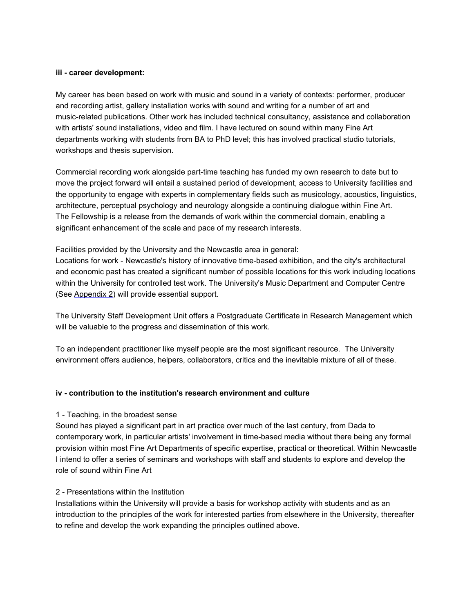### **iii - career development:**

My career has been based on work with music and sound in a variety of contexts: performer, producer and recording artist, gallery installation works with sound and writing for a number of art and music-related publications. Other work has included technical consultancy, assistance and collaboration with artists' sound installations, video and film. I have lectured on sound within many Fine Art departments working with students from BA to PhD level; this has involved practical studio tutorials, workshops and thesis supervision.

Commercial recording work alongside part-time teaching has funded my own research to date but to move the project forward will entail a sustained period of development, access to University facilities and the opportunity to engage with experts in complementary fields such as musicology, acoustics, linguistics, architecture, perceptual psychology and neurology alongside a continuing dialogue within Fine Art. The Fellowship is a release from the demands of work within the commercial domain, enabling a significant enhancement of the scale and pace of my research interests.

Facilities provided by the University and the Newcastle area in general:

Locations for work - Newcastle's history of innovative time-based exhibition, and the city's architectural and economic past has created a significant number of possible locations for this work including locations within the University for controlled test work. The University's Music Department and Computer Centre (See [Appendix 2\)](http://www.stalk.net/piano/appendix2.htm) will provide essential support.

The University Staff Development Unit offers a Postgraduate Certificate in Research Management which will be valuable to the progress and dissemination of this work.

To an independent practitioner like myself people are the most significant resource. The University environment offers audience, helpers, collaborators, critics and the inevitable mixture of all of these.

# **iv - contribution to the institution's research environment and culture**

# 1 - Teaching, in the broadest sense

Sound has played a significant part in art practice over much of the last century, from Dada to contemporary work, in particular artists' involvement in time-based media without there being any formal provision within most Fine Art Departments of specific expertise, practical or theoretical. Within Newcastle I intend to offer a series of seminars and workshops with staff and students to explore and develop the role of sound within Fine Art

# 2 - Presentations within the Institution

Installations within the University will provide a basis for workshop activity with students and as an introduction to the principles of the work for interested parties from elsewhere in the University, thereafter to refine and develop the work expanding the principles outlined above.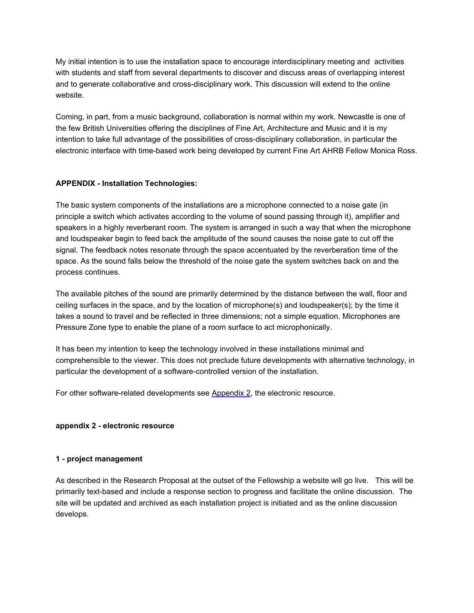My initial intention is to use the installation space to encourage interdisciplinary meeting and activities with students and staff from several departments to discover and discuss areas of overlapping interest and to generate collaborative and cross-disciplinary work. This discussion will extend to the online website.

Coming, in part, from a music background, collaboration is normal within my work. Newcastle is one of the few British Universities offering the disciplines of Fine Art, Architecture and Music and it is my intention to take full advantage of the possibilities of cross-disciplinary collaboration, in particular the electronic interface with time-based work being developed by current Fine Art AHRB Fellow Monica Ross.

# **APPENDIX - Installation Technologies:**

The basic system components of the installations are a microphone connected to a noise gate (in principle a switch which activates according to the volume of sound passing through it), amplifier and speakers in a highly reverberant room. The system is arranged in such a way that when the microphone and loudspeaker begin to feed back the amplitude of the sound causes the noise gate to cut off the signal. The feedback notes resonate through the space accentuated by the reverberation time of the space. As the sound falls below the threshold of the noise gate the system switches back on and the process continues.

The available pitches of the sound are primarily determined by the distance between the wall, floor and ceiling surfaces in the space, and by the location of microphone(s) and loudspeaker(s); by the time it takes a sound to travel and be reflected in three dimensions; not a simple equation. Microphones are Pressure Zone type to enable the plane of a room surface to act microphonically.

It has been my intention to keep the technology involved in these installations minimal and comprehensible to the viewer. This does not preclude future developments with alternative technology, in particular the development of a software-controlled version of the installation.

For other software-related developments see [Appendix 2,](http://www.stalk.net/piano/appendix2.htm) the electronic resource.

# **appendix 2 - electronic resource**

#### **1 - project management**

As described in the Research Proposal at the outset of the Fellowship a website will go live. This will be primarily text-based and include a response section to progress and facilitate the online discussion. The site will be updated and archived as each installation project is initiated and as the online discussion develops.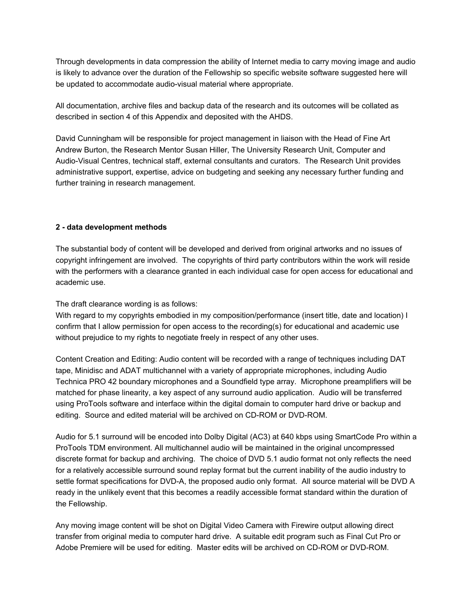Through developments in data compression the ability of Internet media to carry moving image and audio is likely to advance over the duration of the Fellowship so specific website software suggested here will be updated to accommodate audio-visual material where appropriate.

All documentation, archive files and backup data of the research and its outcomes will be collated as described in section 4 of this Appendix and deposited with the AHDS.

David Cunningham will be responsible for project management in liaison with the Head of Fine Art Andrew Burton, the Research Mentor Susan Hiller, The University Research Unit, Computer and Audio-Visual Centres, technical staff, external consultants and curators. The Research Unit provides administrative support, expertise, advice on budgeting and seeking any necessary further funding and further training in research management.

### **2 - data development methods**

The substantial body of content will be developed and derived from original artworks and no issues of copyright infringement are involved. The copyrights of third party contributors within the work will reside with the performers with a clearance granted in each individual case for open access for educational and academic use.

The draft clearance wording is as follows:

With regard to my copyrights embodied in my composition/performance (insert title, date and location) I confirm that I allow permission for open access to the recording(s) for educational and academic use without prejudice to my rights to negotiate freely in respect of any other uses.

Content Creation and Editing: Audio content will be recorded with a range of techniques including DAT tape, Minidisc and ADAT multichannel with a variety of appropriate microphones, including Audio Technica PRO 42 boundary microphones and a Soundfield type array. Microphone preamplifiers will be matched for phase linearity, a key aspect of any surround audio application. Audio will be transferred using ProTools software and interface within the digital domain to computer hard drive or backup and editing. Source and edited material will be archived on CD-ROM or DVD-ROM.

Audio for 5.1 surround will be encoded into Dolby Digital (AC3) at 640 kbps using SmartCode Pro within a ProTools TDM environment. All multichannel audio will be maintained in the original uncompressed discrete format for backup and archiving. The choice of DVD 5.1 audio format not only reflects the need for a relatively accessible surround sound replay format but the current inability of the audio industry to settle format specifications for DVD-A, the proposed audio only format. All source material will be DVD A ready in the unlikely event that this becomes a readily accessible format standard within the duration of the Fellowship.

Any moving image content will be shot on Digital Video Camera with Firewire output allowing direct transfer from original media to computer hard drive. A suitable edit program such as Final Cut Pro or Adobe Premiere will be used for editing. Master edits will be archived on CD-ROM or DVD-ROM.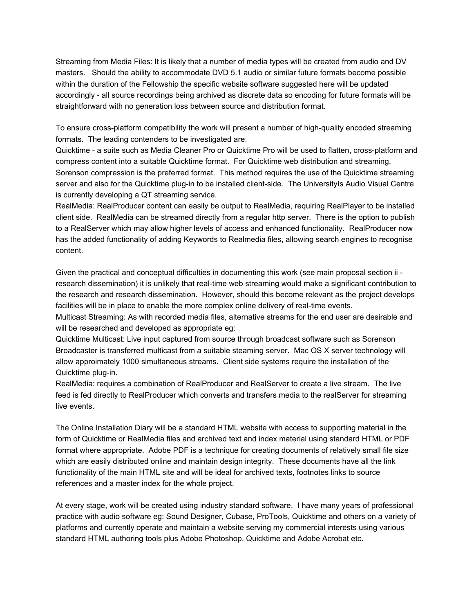Streaming from Media Files: It is likely that a number of media types will be created from audio and DV masters. Should the ability to accommodate DVD 5.1 audio or similar future formats become possible within the duration of the Fellowship the specific website software suggested here will be updated accordingly - all source recordings being archived as discrete data so encoding for future formats will be straightforward with no generation loss between source and distribution format.

To ensure cross-platform compatibility the work will present a number of high-quality encoded streaming formats. The leading contenders to be investigated are:

Quicktime - a suite such as Media Cleaner Pro or Quicktime Pro will be used to flatten, cross-platform and compress content into a suitable Quicktime format. For Quicktime web distribution and streaming, Sorenson compression is the preferred format. This method requires the use of the Quicktime streaming server and also for the Quicktime plug-in to be installed client-side. The Universityís Audio Visual Centre is currently developing a QT streaming service.

RealMedia: RealProducer content can easily be output to RealMedia, requiring RealPlayer to be installed client side. RealMedia can be streamed directly from a regular http server. There is the option to publish to a RealServer which may allow higher levels of access and enhanced functionality. RealProducer now has the added functionality of adding Keywords to Realmedia files, allowing search engines to recognise content.

Given the practical and conceptual difficulties in documenting this work (see main proposal section ii research dissemination) it is unlikely that real-time web streaming would make a significant contribution to the research and research dissemination. However, should this become relevant as the project develops facilities will be in place to enable the more complex online delivery of real-time events.

Multicast Streaming: As with recorded media files, alternative streams for the end user are desirable and will be researched and developed as appropriate eg:

Quicktime Multicast: Live input captured from source through broadcast software such as Sorenson Broadcaster is transferred multicast from a suitable steaming server. Mac OS X server technology will allow approimately 1000 simultaneous streams. Client side systems require the installation of the Quicktime plug-in.

RealMedia: requires a combination of RealProducer and RealServer to create a live stream. The live feed is fed directly to RealProducer which converts and transfers media to the realServer for streaming live events.

The Online Installation Diary will be a standard HTML website with access to supporting material in the form of Quicktime or RealMedia files and archived text and index material using standard HTML or PDF format where appropriate. Adobe PDF is a technique for creating documents of relatively small file size which are easily distributed online and maintain design integrity. These documents have all the link functionality of the main HTML site and will be ideal for archived texts, footnotes links to source references and a master index for the whole project.

At every stage, work will be created using industry standard software. I have many years of professional practice with audio software eg: Sound Designer, Cubase, ProTools, Quicktime and others on a variety of platforms and currently operate and maintain a website serving my commercial interests using various standard HTML authoring tools plus Adobe Photoshop, Quicktime and Adobe Acrobat etc.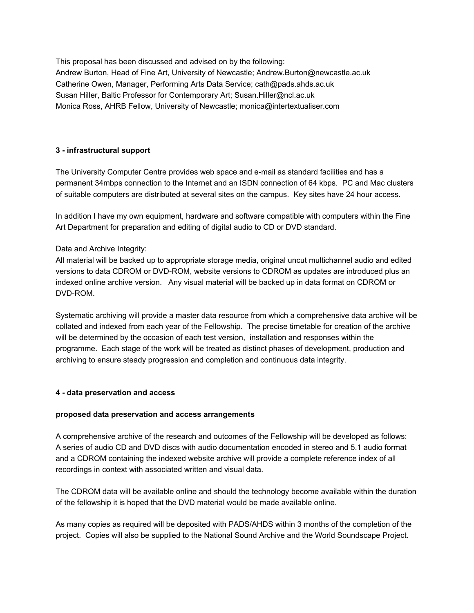This proposal has been discussed and advised on by the following: Andrew Burton, Head of Fine Art, University of Newcastle; Andrew.Burton@newcastle.ac.uk Catherine Owen, Manager, Performing Arts Data Service; cath@pads.ahds.ac.uk Susan Hiller, Baltic Professor for Contemporary Art; Susan.Hiller@ncl.ac.uk Monica Ross, AHRB Fellow, University of Newcastle; monica@intertextualiser.com

# **3 - infrastructural support**

The University Computer Centre provides web space and e-mail as standard facilities and has a permanent 34mbps connection to the Internet and an ISDN connection of 64 kbps. PC and Mac clusters of suitable computers are distributed at several sites on the campus. Key sites have 24 hour access.

In addition I have my own equipment, hardware and software compatible with computers within the Fine Art Department for preparation and editing of digital audio to CD or DVD standard.

# Data and Archive Integrity:

All material will be backed up to appropriate storage media, original uncut multichannel audio and edited versions to data CDROM or DVD-ROM, website versions to CDROM as updates are introduced plus an indexed online archive version. Any visual material will be backed up in data format on CDROM or DVD-ROM.

Systematic archiving will provide a master data resource from which a comprehensive data archive will be collated and indexed from each year of the Fellowship. The precise timetable for creation of the archive will be determined by the occasion of each test version, installation and responses within the programme. Each stage of the work will be treated as distinct phases of development, production and archiving to ensure steady progression and completion and continuous data integrity.

#### **4 - data preservation and access**

#### **proposed data preservation and access arrangements**

A comprehensive archive of the research and outcomes of the Fellowship will be developed as follows: A series of audio CD and DVD discs with audio documentation encoded in stereo and 5.1 audio format and a CDROM containing the indexed website archive will provide a complete reference index of all recordings in context with associated written and visual data.

The CDROM data will be available online and should the technology become available within the duration of the fellowship it is hoped that the DVD material would be made available online.

As many copies as required will be deposited with PADS/AHDS within 3 months of the completion of the project. Copies will also be supplied to the National Sound Archive and the World Soundscape Project.